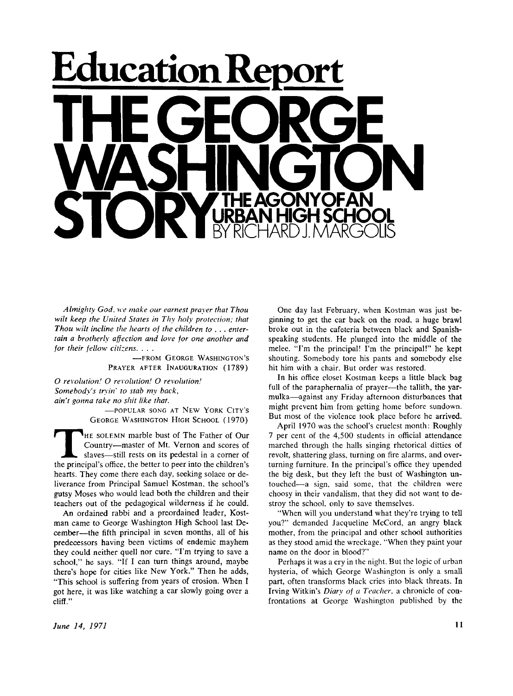

*Almighty God, we make our earnest prayer that Thou wilt keep the United States in Thy holy protection; that Thou wilt incline the hearts of the children to . . . entertain a brotherly affection and love for one another and for their fellow citizens. . . .* 

> **—FROM GEORGE WASHINGTON'S PRAYER AFTER INAUGURATION (1789)**

*O revolution! O revolution! O revolution! Somebody's tryin' to stab my back, ain't gonna take no shit like that.* 

**—POPULAR SONG AT NEW YORK CITY'S GEORGE WASHINGTON HIGH SCHOOL (1970)** 

GEORGE WASHINGTON HIGH SCHOOL (1970)<br>
THE SOLEMN marble bust of The Father of Our<br>
Country—master of Mt. Vernon and scores of<br>
slaves—still rests on its pedestal in a corner of<br>
the principal's office, the better to peer i **HE SOLEMN** marble bust of The Father of Our Country—master of Mt. Vernon and scores of slaves—still rests on its pedestal in a corner of hearts. They come there each day, seeking solace or deliverance from Principal Samuel Kostman. the school's gutsy Moses who would lead both the children and their teachers out of the pedagogical wilderness if he could.

An ordained rabbi and a preordained leader, Kostman came to George Washington High School last December—the fifth principal in seven months, all of his predecessors having been victims of endemic mayhem they could neither quell nor cure. "I'm trying to save a school," he says. "If I can turn things around, maybe there's hope for cities like New York." Then he adds, "This school is suffering from years of erosion. When I got here, it was like watching a car slowly going over a cliff."

One day last February, when Kostman was just beginning to get the car back on the road, a huge brawl broke out in the cafeteria between black and Spanishspeaking students. He plunged into the middle of the melee. "I'm the principal! I'm the principal!" he kept shouting. Somebody tore his pants and somebody else hit him with a chair. But order was restored.

In his office closet Kostman keeps a little black bag full of the paraphernalia of prayer—the tallith, the yarmulka—against any Friday afternoon disturbances that might prevent him from getting home before sundown. But most of the violence took place before he arrived.

April **1970** was the school's crudest month: Roughly **7** per cent of the **4,500** students in official attendance marched through the halls singing rhetorical ditties of revolt, shattering glass, turning on fire alarms, and overturning furniture. In the principal's office they upended the big desk, but they left the bust of Washington untouched—a sign, said some, that the children were choosy in their vandalism, that they did not want to destroy the school, only to save themselves.

"When will you understand what they're trying to tell you?" demanded Jacqueline McCord, an angry black mother, from the principal and other school authorities as they stood amid the wreckage. "When they paint your name on the door in blood?"

Perhaps it was a cry in the night. But the logic of urban hysteria, of which George Washington is only a small part, often transforms black cries into black threats. In Irving Witkin's *Diary of a Teacher,* a chronicle of confrontations at George Washington published by the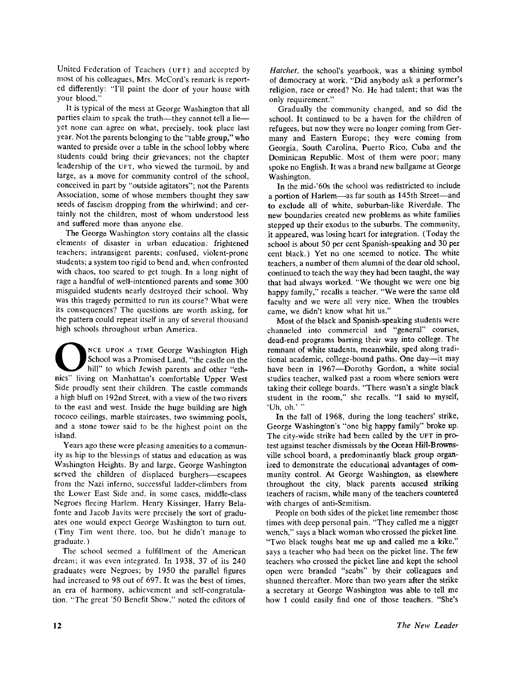United Federation of Teachers (**UFT**) and accepted by most of his colleagues, Mrs. McCord's remark is reported differently: "I'll paint the door of your house with your blood."

It is typical of the mess at George Washington that all parties claim to speak the truth—they cannot tell a lie yet none can agree on what, precisely, took place last year. Not the parents belonging to the "table group," who wanted to preside over a table in the school lobby where students could bring their grievances; not the chapter leadership of the **UFT**, who viewed the turmoil, by and large, as a move for community control of the school, conceived in part by "outside agitators"; not the Parents Association, some of whose members thought they saw seeds of fascism dropping from the whirlwind; and certainly not the children, most of whom understood less and suffered more than anyone else.

The George Washington story contains all the classic elements of disaster in urban education: frightened teachers; intransigent parents; confused, violent-prone students; a system too rigid to bend and, when confronted with chaos, too scared to get tough. In a long night of rage a handful of well-intentioned parents and some 300 misguided students nearly destroyed their school. Why was this tragedy permitted to run its course? What were its consequences? The questions are worth asking, for the pattern could repeat itself in any of several thousand high schools throughout urban America.

NCE UPON A TIME George Washington High School was a Promised Land, "the castle on the hill" to which Jewish parents and other "ethnics" living on Manhattan's comfortable Upper West **NCE UPON A TIME** George Washington High School was a Promised Land, "the castle on the hill" to which Jewish parents and other "eth-Side proudly sent their children. The castle commands a high bluff on 192nd Street, with a view of the two rivers to the east and west. Inside the huge building are high rococo ceilings, marble staircases, two swimming pools, and a stone tower said to be the highest point on the island.

Years ago these were pleasing amenities to a community as hip to the blessings of status and education as was Washington Heights. By and large, George Washington served the children of displaced burghers—escapees from the Nazi inferno, successful ladder-climbers from the Lower East Side and, in some cases, middle-class Negroes fleeing Harlem. Henry Kissinger, Harry Belafonte and Jacob Javits were precisely the sort of graduates one would expect George Washington to turn out. (Tiny Tim went there, too, but he didn't manage to graduate.)

The school seemed a fulfillment of the American dream; it was even integrated. In 1938, 37 of its 240 graduates were Negroes; by 1950 the parallel figures had increased to 98 out of 697. It was the best of times, an era of harmony, achievement and self-congratulation. "The great '50 Benefit Show," noted the editors of *Hatchet,* the school's yearbook, was a shining symbol of democracy at work. "Did anybody ask a performer's religion, race or creed? No. He had talent; that was the only requirement."

Gradually the community changed, and so did the school. It continued to be a haven for the children of refugees, but now they were no longer coming from Germany and Eastern Europe; they were coming from Georgia, South Carolina, Puerto Rico, Cuba and the Dominican Republic. Most of them were poor; many spoke no English. It was a brand new ballgame at George Washington.

In the mid-'60s the school was redistricted to include a portion of Harlem—as far south as 145th Street—and to exclude all of white, suburban-like Riverdale. The new boundaries created new problems as white families stepped up their exodus to the suburbs. The community, it appeared, was losing heart for integration. (Today the school is about 50 per cent Spanish-speaking and 30 per cent black.) Yet no one seemed to notice. The white teachers, a number of them alumni of the dear old school, continued to teach the way they had been taught, the way that had always worked. "We thought we were one big happy family," recalls a teacher. "We were the same old faculty and we were all very nice. When the troubles came, we didn't know what hit us."

Most of the black and Spanish-speaking students were channeled into commercial and "general" courses, dead-end programs barring their way into college. The remnant of white students, meanwhile, sped along traditional academic, college-bound paths. One day—it may have been in 1967—Dorothy Gordon, a white social studies teacher, walked past a room where seniors were taking their college boards. "There wasn't a single black student in the room," she recalls. "I said to myself, 'Uh, oh.' "

In the fall of 1968, during the long teachers' strike, George Washington's "one big happy family" broke up. The city-wide strike had been called by the **UFT** in protest against teacher dismissals by the Ocean Hill-Brownsville school board, a predominantly black group organized to demonstrate the educational advantages of community control. At George Washington, as elsewhere throughout the city, black parents accused striking teachers of racism, while many of the teachers countered with charges of anti-Semitism.

People on both sides of the picket line remember those times with deep personal pain. "They called me a nigger wench," says a black woman who crossed the picket line. "Two black toughs beat me up and called me a kike," says a teacher who had been on the picket line. The few teachers who crossed the picket line and kept the school open were branded "scabs" by their colleagues and shunned thereafter. More than two years after the strike a secretary at George Washington was able to tell me how I could easily find one of those teachers. "She's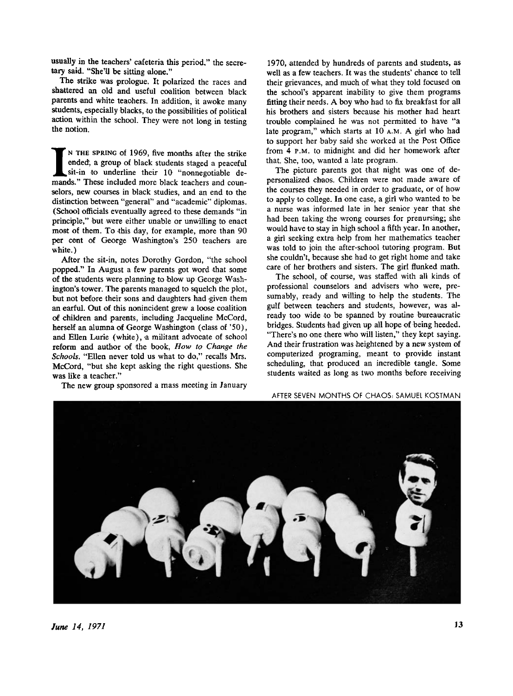usually in the teachers' cafeteria this period," the secretary said. "She'll be sitting alone."

The strike was prologue. It polarized the races and shattered an old and useful coalition between black parents and white teaohers. In addition, it awoke many students, especially blacks, to the possibilities of political action within the school. They were not long in testing the notion.

IN THE SPRING of 1969, five months after the strike ended, a group of black students staged a peaceful sit-in to underline their 10 "nonnegotiable de-mands." These included more black teachers and coun-**N THE SPRING** of 1969, five months after the strike ended; a group of black students staged a peaceful sit-in to underline their 10 "nonnegotiable deselors, new courses in black studies, and an end to the distinction between "general" and "academic" diplomas. (School officials eventually agreed to these demands "in principle," but were either unable or unwilling to enact most of them. To this day, for example, more than 90 per cent of George Washington's 250 teachers are white.)

After the sit-in, notes Dorothy Gordon, "the school popped." In August a few parents got word that some of the students were planning to blow up George Washington's tower. The parents managed to squelch the plot, but not before their sons and daughters had given them an earful. Out of this nonincident grew a loose coalition of children and parents, including Jacqueline McCord, herself an alumna of George Washington (class of '50), and Ellen Lurie (white), a militant advocate of school reform and author of the book, *How to Change the Schools.* "Ellen never told us what to do," recalls Mrs. McCord, "but she kept asking the right questions. She was like a teacher."

The new group sponsored a mass meeting in January

1970, attended by hundreds of parents and students, as well as a few teachers. It was the students' chance to tell their grievances, and much of what they told focused on the school's apparent inability to give them programs fitting their needs. A boy who had to fix breakfast for all his brothers and sisters because his mother had heart trouble complained he was not permitted to have "a late program," which starts at 10 **A.M**. A girl who had to support her baby said she worked at the Post Office from 4 **P.M**. to midnight and did her homework after that. She, too, wanted a late program.

The picture parents got that night was one of depersonalized chaos. Children were not made aware of the courses they needed in order to graduate, or of how to apply to college. In one case, a girl who wanted to be a nurse was informed late in her senior year that she had been taking the wrong courses for prenursing; she would have to stay in high school a fifth year. In another, a girl seeking extra help from her mathematics teacher was told to join the after-school tutoring program. But she couldn't, because she had to get right home and take care of her brothers and sisters. The girl flunked math.

The school, of course, was staffed with all kinds of professional counselors and advisers who were, presumably, ready and willing to help the students. The gulf between teachers and students, however, was already too wide to be spanned by routine bureaucratic bridges. Students had given up all hope of being heeded. "There's no one there who will listen," they kept saying. And their frustration was heightened by a new system of computerized programing, meant to provide instant scheduling, that produced an incredible tangle. Some students waited as long as two months before receiving

AFTER SEVEN MONTHS OF CHAOS: SAMUEL KOSTMAN

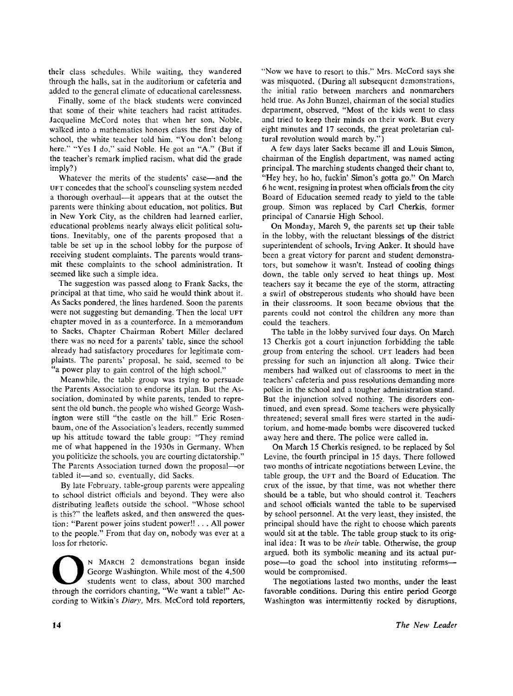their class schedules. While waiting, they wandered through the halls, sat in the auditorium or cafeteria and added to the general climate of educational carelessness.

Finally, some of the black students were convinced that some of their white teachers had racist attitudes. Jacqueline McCord notes that when her son. Noble, walked into a mathematics honors class the first day of school, the white teacher told him, "You don't belong here." "Yes I do," said Noble. He got an "A." (But if the teacher's remark implied racism, what did the grade imply?)

Whatever the merits of the students' case—and the **UFT** concedes that the school's counseling system needed a thorough overhaul—it appears that at the outset the parents were thinking about education, not politics. But in New York City, as the children had learned earlier, educational problems nearly always elicit political solutions. Inevitably, one of the parents proposed that a table be set up in the school lobby for the purpose of receiving student complaints. The parents would transmit these complaints to the school administration. It seemed like such a simple idea.

The suggestion was passed along to Frank Sacks, the principal at that time, who said he would think about it. As Sacks pondered, the lines hardened. Soon the parents were not suggesting but demanding. Then the local **UFT**  chapter moved in as a counterforce. In a memorandum to Sacks, Chapter Chairman Robert Miller declared there was no need for a parents' table, since the school already had satisfactory procedures for legitimate complaints. The parents' proposal, he said, seemed to be "a power play to gain control of the high school."

Meanwhile, the table group was trying to persuade the Parents Association to endorse its plan. But the Association, dominated by white parents, tended to represent the old bunch, the people who wished George Washington were still "the castle on the hill." Eric Rosenbaum, one of the Association's leaders, recently summed up his attitude toward the table group: "They remind me of what happened in the 1930s in Germany. When you politicize the schools, you are courting dictatorship." The Parents Association turned down the proposal—or tabled it—and so, eventually, did Sacks.

By late February, table-group parents were appealing to school district officials and beyond. They were also distributing leaflets outside the school. "Whose school is this?" the leaflets asked, and then answered the question: "Parent power joins student power!! . . . All power to the people." From that day on, nobody was ever at a loss for rhetoric.

N MARCH 2 demonstrations began inside<br>George Washington. While most of the 4,500<br>through the corridors chanting, "We want a table!" Ac-**N MARCH** 2 demonstrations began inside George Washington. While most of the 4,500 students went to class, about 300 marched cording to Witkin's Diary, Mrs. McCord told reporters,

"Now we have to resort to this." Mrs. McCord says she was misquoted. (During all subsequent demonstrations, the initial ratio between marchers and nonmarchers held true. As John Bunzel, chairman of the social studies department, observed, "Most of the kids went to class and tried to keep their minds on their work. But every eight minutes and 17 seconds, the great proletarian cultural revolution would march by.")

A few days later Sacks became ill and Louis Simon, chairman of the English department, was named acting principal. The marching students changed their chant to, "Hey hey, ho ho, fuckin' Simon's gotta go." On March 6 he went, resigning in protest when officials from the city Board of Education seemed ready to yield to the table group. Simon was replaced by Carl Cherkis, former principal of Canarsie High School.

On Monday, March 9, the parents set up their table in the lobby, with the reluctant blessings of the district superintendent of schools, Irving Anker. It should have been a great victory for parent and student demonstrators, but somehow it wasn't. Instead of cooling things down, the table only served to heat things up. Most teachers say it became the eye of the storm, attracting a swirl of obstreperous students who should have been in their classrooms. It soon became obvious that the parents could not control the children any more than could the teachers.

The table in the lobby survived four days. On March 13 Cherkis got a court injunction forbidding the table group from entering the school, **UFT** leaders had been pressing for such an injunction all along. Twice their members had walked out of classrooms to meet in the teachers' cafeteria and pass resolutions demanding more police in the school and a tougher administration stand. But the injunction solved nothing. The disorders continued, and even spread. Some teachers were physically threatened; several small fires were started in the auditorium, and home-made bombs were discovered tucked away here and there. The police were called in.

On March 15 Cherkis resigned, to be replaced by Sol Levine, the fourth principal in 15 days. There followed two months of intricate negotiations between Levine, the table group, the **UFT** and the Board of Education. The crux of the issue, by that time, was not whether there should be a table, but who should control it. Teachers and school officials wanted the table to be supervised by school personnel. At the very least, they insisted, the principal should have the right to choose which parents would sit at the table. The table group stuck to its original idea: It was to be *their* table. Otherwise, the group argued, both its symbolic meaning and its actual purpose—to goad the school into instituting reforms would be compromised.

The negotiations lasted two months, under the least favorable conditions. During this entire period George Washington was intermittently rocked by disruptions,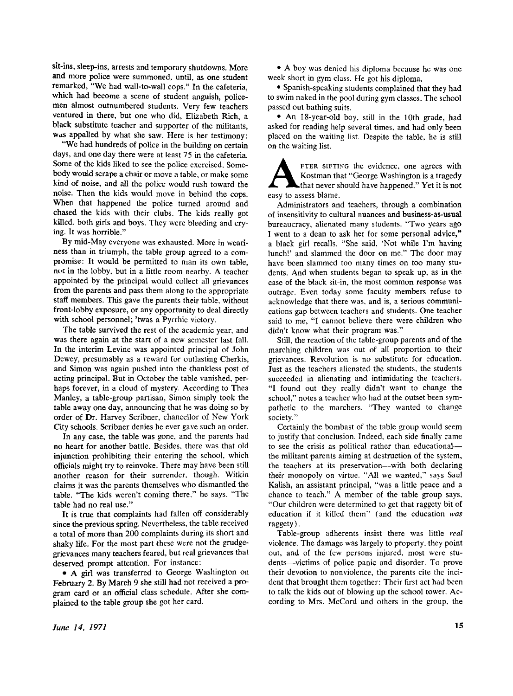sit-ins, sleep-ins, arrests and temporary shutdowns. More and more police were summoned, until, as one student remarked, "We had wall-to-wall cops." In the cafeteria, which had become a scene of student anguish, policemen almost outnumbered students. Very few teachers ventured in there, but one who did, Elizabeth Rich, a black substitute teacher and supporter of the militants, was appalled by what she saw. Here is her testimony:

"We had hundreds of police in the building on certain days, and one day there were at least 75 in the cafeteria. Some of the kids liked to see the police exercised. Somebody would scrape a chair or move a table, or make some kind of noise, and all the police would rush toward the noise. Then the kids would move in behind the cops. When that happened the police turned around and chased the kids with their clubs. The kids really got killed, both girls and boys. They were bleeding and crying. It was horrible."

By mid-May everyone was exhausted. More in weariness than in triumph, the table group agreed to a compromise: It would be permitted to man its own table, not in the lobby, but in a little room nearby. A teacher appointed by the principal would collect all grievances from the parents and pass them along to the appropriate staff members. This gave the parents their table, without front-lobby exposure, or any opportunity to deal directly with school personnel; 'twas a Pyrrhic victory.

The table survived the rest of the academic year, and was there again at the start of a new semester last fall. In the interim Levine was appointed principal of John Dewey, presumably as a reward for outlasting Cherkis, and Simon was again pushed into the thankless post of acting principal. But in October the table vanished, perhaps forever, in a cloud of mystery. According to Thea Manley, a table-group partisan, Simon simply took the table away one day, announcing that he was doing so by order of Dr. Harvey Scribner, chancellor of New York City schools. Scribner denies he ever gave such an order.

In any case, the table was gone, and the parents had no heart for another battle. Besides, there was that old injunction prohibiting their entering the school, which officials might try to reinvoke. There may have been still another reason for their surrender, though. Witkin claims it was the parents themselves who dismantled the table. "The kids weren't coming there." he says. "The table had no real use."

It is true that complaints had fallen off considerably since the previous spring. Nevertheless, the table received a total of more than 200 complaints during its short and shaky life. For the most part these were not the grudgegrievances many teachers feared, but real grievances that deserved prompt attention. For instance:

• A girl was transferred to George Washington on February 2. By March 9 she still had not received a program card or an official class schedule. After she complained to the table group she got her card.

• A boy was denied his diploma because he was one week short in gym class. He got his diploma.

• Spanish-speaking students complained that they had to swim naked in the pool during gym classes. The school passed out bathing suits.

• An 18-year-old boy, still in the 10th grade, had asked for reading help several times, and had only been placed on the waiting list. Despite the table, he is still on the waiting list.

**A**<br> **EXPLOM**<br> **EXPLOM**<br> **EXPLOM**<br> **EXPLOM**<br> **EXPLOM**<br> **EXPLOM**<br> **EXPLOM**<br> **EXPLOM**<br> **EXPLOM**<br> **EXPLOM**<br> **EXPLOM**<br> **EXPLOM**<br> **EXPLOM**<br> **EXPLOM**<br> **EXPLOM FTER SIFTING** the evidence, one agrees with Kostman that "George Washington is a tragedy that never should have happened." Yet it is not

Administrators and teachers, through a combination of insensitivity to cultural nuances and business-as-usual bureaucracy, alienated many students. "Two years ago I went to a dean to ask her for some personal advice," a black girl recalls. "She said, 'Not while I'm having lunch!' and slammed the door on me." The door may have been slammed too many times on too many students. And when students began to speak up, as in the case of the black sit-in, the most common response was outrage. Even today some faculty members refuse to acknowledge that there was, and is, a serious communications gap between teachers and students. One teacher said to me, "I cannot believe there were children who didn't know what their program was."

Still, the reaction of the table-group parents and of the marching children was out of all proportion to their grievances. Revolution is no substitute for education. Just as the teachers alienated the students, the students succeeded in alienating and intimidating the teachers. "I found out they really didn't want to change the school," notes a teacher who had at the outset been sympathetic to the marchers. "They wanted to change society."

Certainly the bombast of the table group would seem to justify that conclusion. Indeed, each side finally came to see the crisis as political rather than educational the militant parents aiming at destruction of the system, the teachers at its preservation—with both declaring their monopoly on virtue. "All we wanted," says Saul Kalish, an assistant principal, "was a little peace and a chance to teach." A member of the table group says, "Our children were determined to get that raggety bit of education if it killed them" (and the education *was*  raggety).

Table-group adherents insist there was little *real*  violence. The damage was largely to property, they point out, and of the few persons injured, most were students—victims of police panic and disorder. To prove their devotion to nonviolence, the parents cite the incident that brought them together: Their first act had been to talk the kids out of blowing up the school tower. Ac cording to Mrs. McCord and others in the group, the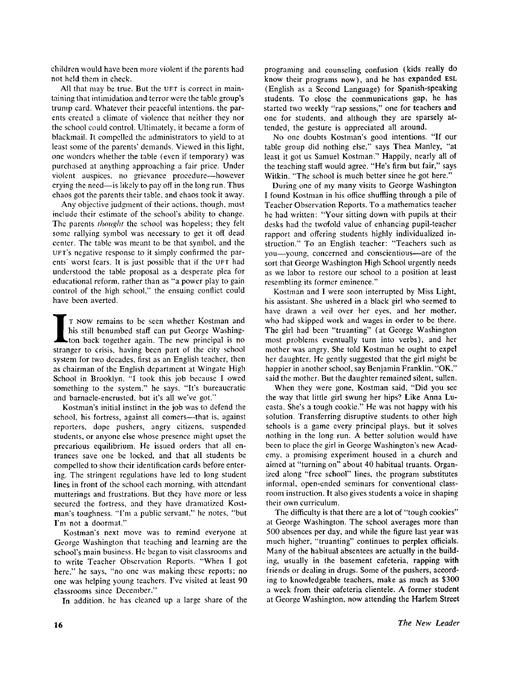children would have been more violent if the parents had not held them in check.

All that may be true. But the UFT is correct in maintaining that intimidation and terror were the table group's trump card. Whatever their peaceful intentions, the parents created a climate of violence that neither they nor the school could control. Ultimately, it became a form of blackmail. It compelled the administrators to yield to at least some of the parents' demands. Viewed in this light, one wonders whether the table (even if temporary) was purchased at anything approaching a fair price. Under violent auspices, no grievance procedure—however crying the need—is likely to pay off in the long run. Thus chaos got the parents their table, and chaos took it away.

Any objective judgment of their actions, though, must include their estimate of the school's ability to change. The parents *thought* the school was hopeless; they felt some rallying symbol was necessary to get it off dead center. The table was meant to be that symbol, and the **UFT'S** negative response to it simply confirmed the parents' worst fears. It is just possible that if the **UFT** had understood the table proposal as a desperate plea for educational reform, rather than as "a power play to gain control of the high school," the ensuing conflict could have been averted.

I T NOW remains to be seen whether Kostman and<br>his still benumbed staff can put George Washing-<br>ton back together again. The new principal is no<br>stranger to crisis, having been part of the city school **T NOW** remains to be seen whether Kostman and his still benumbed staff can put George Washington back together again. The new principal is no system for two decades, first as an English teacher, then as chairman of the English department at Wingate High School in Brooklyn. "I took this job because I owed something to the system," he says. "It's bureaucratic and barnacle-encrusted, but it's all we've got."

Kostman's initial instinct in the job was to defend the school, his fortress, against all comers—that is, against reporters, dope pushers, angry citizens, suspended students, or anyone else whose presence might upset the precarious equilibrium. He issued orders that all entrances save one be locked, and that all students be compelled to show their identification cards before entering. The stringent regulations have led to long student lines in front of the school each morning, with attendant mutterings and frustrations. But they have more or less secured the fortress, and they have dramatized Kostman's toughness. "I'm a public servant," he notes, "but I'm not a doormat."

Kostman's next move was to remind everyone at George Washington that teaching and learning are the school's main business. He began to visit classrooms and to write Teacher Observation Reports. "When I got here," he says, "no one was making these reports; no one was helping young teachers. I've visited at least 90 classrooms since December."

In addition, he has cleaned up a large share of the

programing and counseling confusion (kids really do know their programs now), and he has expanded **ESL**  (English as a Second Language) for Spanish-speaking students. To close the communications gap, he has started two weekly "rap sessions," one for teachers and one for students, and although they are sparsely attended, the gesture is appreciated all around.

No one doubts Kostman's good intentions. "If our table group did nothing else," says Thea Manley, "at least it got us Samuel Kostman." Happily, nearly all of the teaching staff would agree. "He's firm but fair," says Witkin. "The school is much better since he got here."

During one of my many visits to George Washington I found Kostman in his office shuffling through a pile of Teacher Observation Reports. To a mathematics teacher he had written: "Your sitting down with pupils at their desks had the twofold value of enhancing pupil-teacher rapport and offering students highly individualized instruction." To an English teacher: "Teachers such as you—young, concerned and conscientious—are of the sort that George Washington High School urgently needs as we labor to restore our school to a position at least resembling its former eminence."

Kostman and I were soon interrupted by Miss Light, his assistant. She ushered in a black girl who seemed to have drawn a veil over her eyes, and her mother, who had skipped work and wages in order to be there. The girl had been "truanting" (at George Washington most problems eventually turn into verbs), and her mother was angry. She told Kostman he ought to expel her daughter. He gently suggested that the girl might be happier in another school, say Benjamin Franklin. "OK, " said the mother. But the daughter remained silent, sullen.

When they were gone, Kostman said, "Did you see the way that little girl swung her hips? Like Anna Lucasta. She's a tough cookie." He was not happy with his solution. Transferring disruptive students to other high schools is a game every principal plays, but it solves nothing in the long run. A better solution would have been to place the girl in George Washington's new Academy, a promising experiment housed in a church and aimed at "turning on" about 40 habitual truants. Organized along "free school" lines, the program substitutes informal, open-ended seminars for conventional classroom instruction. It also gives students a voice in shaping their own curriculum.

The difficulty is that there are a lot of "tough cookies" at George Washington. The school averages more than 500 absences per day, and while the figure last year was much higher, "truanting" continues to perplex officials. Many of the habitual absentees are actually in the building, usually in the basement cafeteria, rapping with friends or dealing in drugs. Some of the pushers, according to knowledgeable teachers, make as much as \$300 a week from their oafeteria clientele. A former student at George Washington, now attending the Harlem Street